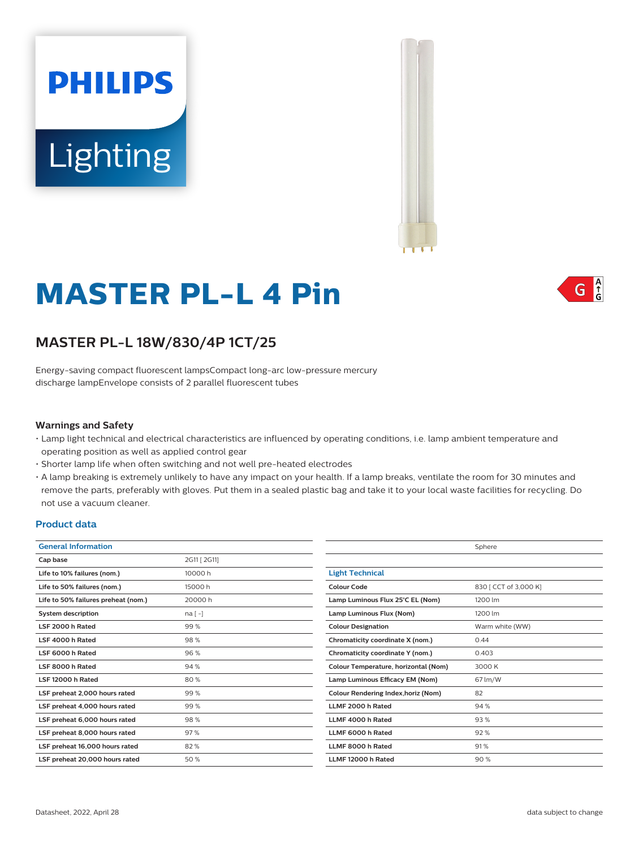



# **MASTER PL-L 4 Pin**

# **MASTER PL-L 18W/830/4P 1CT/25**

Energy-saving compact fluorescent lampsCompact long-arc low-pressure mercury discharge lampEnvelope consists of 2 parallel fluorescent tubes

## **Warnings and Safety**

- Lamp light technical and electrical characteristics are influenced by operating conditions, i.e. lamp ambient temperature and operating position as well as applied control gear
- Shorter lamp life when often switching and not well pre-heated electrodes
- A lamp breaking is extremely unlikely to have any impact on your health. If a lamp breaks, ventilate the room for 30 minutes and remove the parts, preferably with gloves. Put them in a sealed plastic bag and take it to your local waste facilities for recycling. Do not use a vacuum cleaner.

### **Product data**

| <b>General Information</b>          |              |                                      | Sphere                |  |  |
|-------------------------------------|--------------|--------------------------------------|-----------------------|--|--|
| Cap base                            | 2G11 [ 2G11] |                                      |                       |  |  |
| Life to 10% failures (nom.)         | 10000 h      | <b>Light Technical</b>               |                       |  |  |
| Life to 50% failures (nom.)         | 15000h       | <b>Colour Code</b>                   | 830 [ CCT of 3,000 K] |  |  |
| Life to 50% failures preheat (nom.) | 20000h       | Lamp Luminous Flux 25°C EL (Nom)     | 1200 lm               |  |  |
| <b>System description</b>           | $na[-]$      | Lamp Luminous Flux (Nom)             | 1200 lm               |  |  |
| LSF 2000 h Rated                    | 99%          | <b>Colour Designation</b>            | Warm white (WW)       |  |  |
| LSF 4000 h Rated                    | 98%          | Chromaticity coordinate X (nom.)     | 0.44                  |  |  |
| LSF 6000 h Rated                    | 96%          | Chromaticity coordinate Y (nom.)     | 0.403                 |  |  |
| LSF 8000 h Rated                    | 94%          | Colour Temperature, horizontal (Nom) | 3000 K                |  |  |
| LSF 12000 h Rated                   | 80%          | Lamp Luminous Efficacy EM (Nom)      | 67 lm/W               |  |  |
| LSF preheat 2,000 hours rated       | 99%          | Colour Rendering Index, horiz (Nom)  | 82                    |  |  |
| LSF preheat 4,000 hours rated       | 99%          | LLMF 2000 h Rated                    | 94 %                  |  |  |
| LSF preheat 6,000 hours rated       | 98%          | LLMF 4000 h Rated                    | 93%                   |  |  |
| LSF preheat 8,000 hours rated       | 97%          | LLMF 6000 h Rated                    | 92%                   |  |  |
| LSF preheat 16,000 hours rated      | 82%          | LLMF 8000 h Rated                    | 91%                   |  |  |
| LSF preheat 20,000 hours rated      | 50%          | LLMF 12000 h Rated                   | 90%                   |  |  |

 $\int_{0}^{A}$ G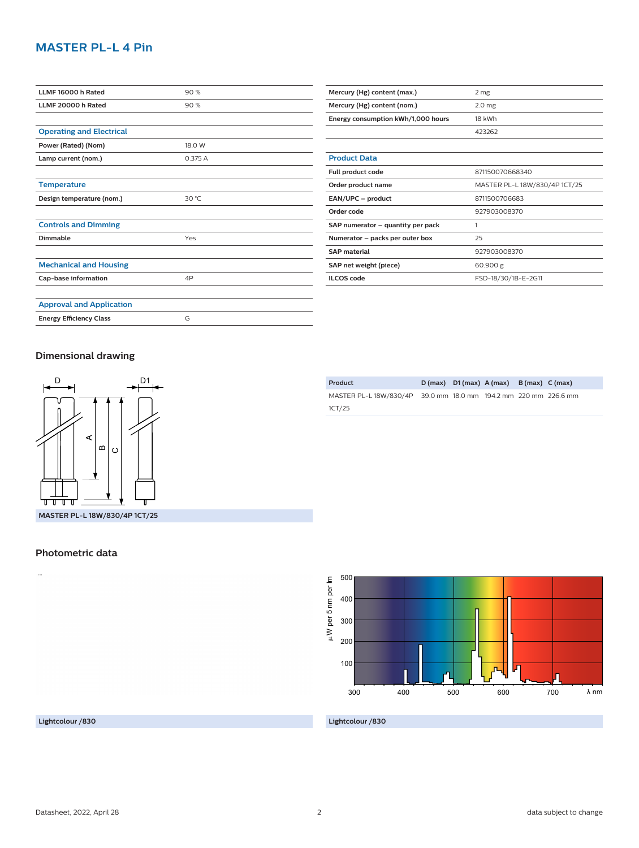# **MASTER PL-L 4 Pin**

| LLMF 16000 h Rated              | 90%     |  |  |
|---------------------------------|---------|--|--|
| LLMF 20000 h Rated              | 90%     |  |  |
|                                 |         |  |  |
| <b>Operating and Electrical</b> |         |  |  |
| Power (Rated) (Nom)             | 18.0 W  |  |  |
| Lamp current (nom.)             | 0.375 A |  |  |
|                                 |         |  |  |
| <b>Temperature</b>              |         |  |  |
| Design temperature (nom.)       | 30 °C   |  |  |
|                                 |         |  |  |
| <b>Controls and Dimming</b>     |         |  |  |
| Dimmable                        | Yes     |  |  |
|                                 |         |  |  |
| <b>Mechanical and Housing</b>   |         |  |  |
| Cap-base information            | 4P      |  |  |
|                                 |         |  |  |
| <b>Approval and Application</b> |         |  |  |
| <b>Energy Efficiency Class</b>  | G       |  |  |

| Mercury (Hg) content (max.)        | 2 mg                          |  |  |  |
|------------------------------------|-------------------------------|--|--|--|
| Mercury (Hg) content (nom.)        | 2.0 <sub>mg</sub>             |  |  |  |
| Energy consumption kWh/1,000 hours | 18 kWh                        |  |  |  |
|                                    | 423262                        |  |  |  |
|                                    |                               |  |  |  |
| <b>Product Data</b>                |                               |  |  |  |
| Full product code                  | 871150070668340               |  |  |  |
| Order product name                 | MASTER PL-L 18W/830/4P 1CT/25 |  |  |  |
| EAN/UPC - product                  | 8711500706683                 |  |  |  |
| Order code                         | 927903008370                  |  |  |  |
| SAP numerator - quantity per pack  | 1                             |  |  |  |
| Numerator - packs per outer box    | 25                            |  |  |  |
| <b>SAP</b> material                | 927903008370                  |  |  |  |
| SAP net weight (piece)             | 60.900 g                      |  |  |  |
| <b>ILCOS</b> code                  | FSD-18/30/1B-E-2G11           |  |  |  |

### **Dimensional drawing**



| MASTER PL-L 18W/830/4P 39.0 mm 18.0 mm 194.2 mm 220 mm 226.6 mm |  |  |  |
|-----------------------------------------------------------------|--|--|--|
| 1CT/25                                                          |  |  |  |
|                                                                 |  |  |  |

**Product D (max) D1 (max) A (max) B (max) C (max)**



#### **Lightcolour /830**

**Lightcolour /830**

**Photometric data**

 $\bar{a}$